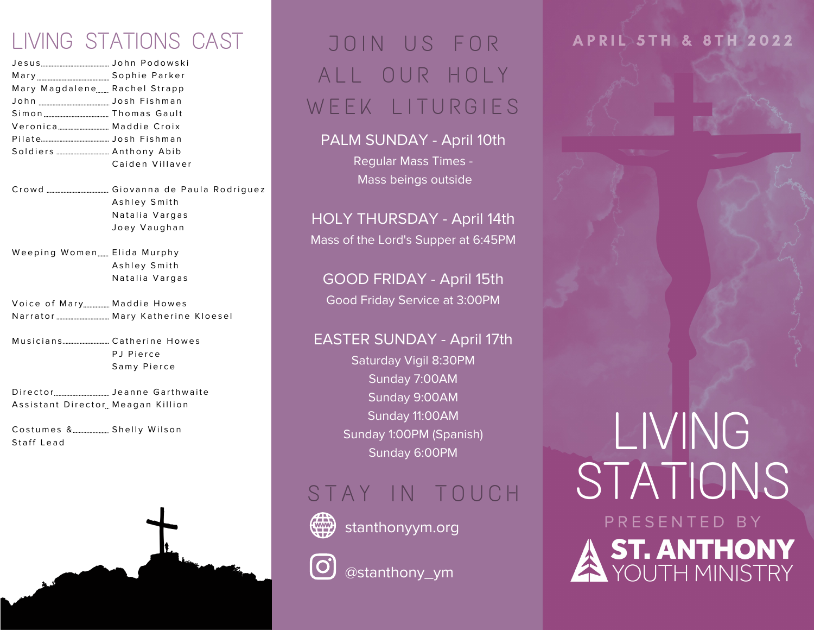### LIVING STATIONS CAST

| Mary Magdalene Rachel Strapp |                 |
|------------------------------|-----------------|
|                              |                 |
|                              |                 |
|                              |                 |
|                              |                 |
|                              |                 |
|                              | Caiden Villaver |
|                              |                 |

- Cr o w d Giovanna de Paula Rodriquez Ashley Smith Natalia Vargas Joey Vaughan
- Weeping Women……. Elida Murphy Ashley Smith Natalia Vargas
- Voice of Mary……………… Maddie Howes N a rr a t o r M a r y K a t h e ri n e K l o e s e l
- M u s i c i a n s Ca t h e ri n e H o w e s P J Pierce Samy Pierce
- Director<sub>……………………………………………</sub> Jeanne Garthwaite Assistant Director<u>,</u> Meagan Killion

Costumes &……………………… Shelly Wilson Staff Lead



## JOIN US FOR ALL OUR HOLY W E E K LITURGIES

#### PALM SUNDAY - April 10th

Regular Mass Times - Mass beings outside

HOLY THURSDAY - April 14th Mass of the Lord's Supper at 6:45PM

GOOD FRIDAY - April 15th Good Friday Service at 3:00PM

#### EASTER SUNDAY - April 17th

Saturday Vigil 8:30PM Sunday 7:00AM Sunday 9:00AM Sunday 11:00AM Sunday 1:00PM (Spanish) Sunday 6:00PM

### STAY IN TOUCH



stanthonyym.org



@stanthony\_ym

#### **A P R I L 5 T H & 8 T H 2 0 2 2**

## LIVING STATIONS P R E S E N T E D B Y **ST. ANTHONY**<br>YOUTH MINISTRY